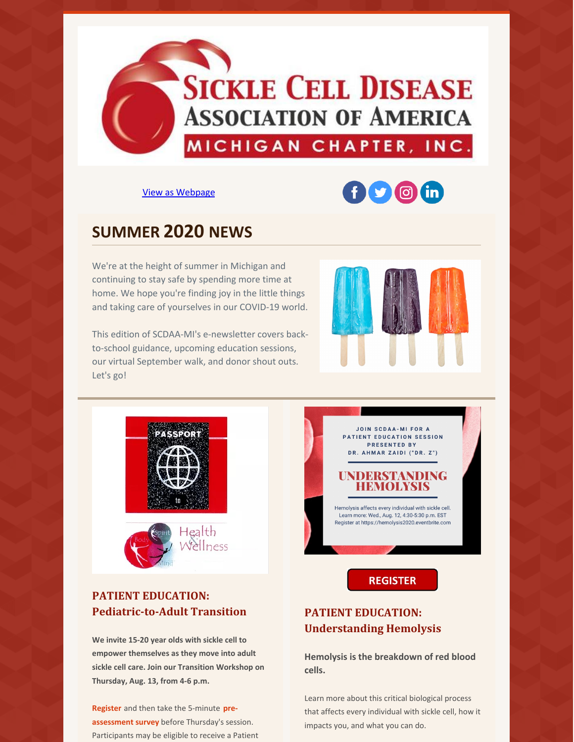

View as [Webpage](http://campaign.r20.constantcontact.com/render?ca=396e3c35-3c89-41ec-b536-ae1240fedf99&preview=true&m=1133047724740&id=preview)

# $f(x)$  o (in)

# **SUMMER 2020 NEWS**

We're at the height of summer in Michigan and continuing to stay safe by spending more time at home. We hope you're finding joy in the little things and taking care of yourselves in our COVID-19 world.

This edition of SCDAA-MI's e-newsletter covers backto-school guidance, upcoming education sessions, our virtual September walk, and donor shout outs. Let's go!







# **PATIENT EDUCATION: Pediatric-to-Adult Transition**

**We invite 15-20 year olds with sickle cell to empower themselves as they move into adult sickle cell care. Join our Transition Workshop on Thursday, Aug. 13, from 4-6 p.m.**

**[Register](https://www.surveymonkey.com/r/9ZHXTKJ)** and then take the 5-minute **pre[assessment](https://www.surveymonkey.com/r/9VR5927) survey** before Thursday's session. Participants may be eligible to receive a Patient



Hemolysis affects every individual with sickle cell. Learn more: Wed., Aug. 12, 4:30-5:30 p.m. EST Register at https://hemolysis2020.eventbrite.com

# **REGISTER**

# **PATIENT EDUCATION: Understanding Hemolysis**

**Hemolysis is the breakdown of red blood cells.**

Learn more about this critical biological process that affects every individual with sickle cell, how it impacts you, and what you can do.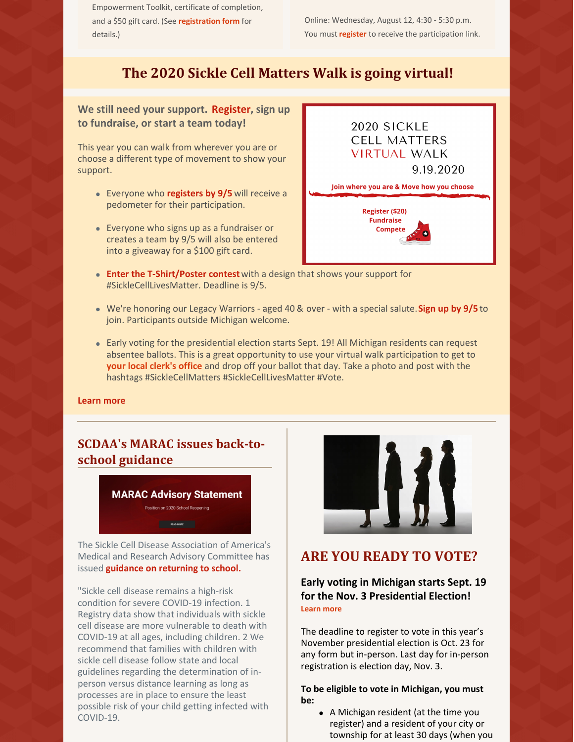Empowerment Toolkit, certificate of completion, and a \$50 gift card. (See **[registration](https://www.surveymonkey.com/r/9ZHXTKJ) form** for details.)

Online: Wednesday, August 12, 4:30 - 5:30 p.m. You must **[register](https://hemolysis2020.eventbrite.com)** to receive the participation link.

# **The 2020 Sickle Cell Matters Walk is going virtual!**

**We still need your support. [Register](https://www.scdaami.org/2020walk), sign up to fundraise, or start a team today!**

This year you can walk from wherever you are or choose a different type of movement to show your support.

- Everyone who **[registers](https://www.scdaami.org/2020walk) by 9/5** will receive a pedometer for their participation.
- Everyone who signs up as a fundraiser or creates a team by 9/5 will also be entered into a giveaway for a \$100 gift card.



- **Enter the [T-Shirt/Poster](https://www.surveymonkey.com/r/2D5SD72) contes[t](https://www.surveymonkey.com/r/2D5SD72)**with a design that shows your support for #SickleCellLivesMatter. Deadline is 9/5.
- We're honoring our Legacy Warriors aged 40 & over with a special salute.**[Sign](https://www.surveymonkey.com/r/Y5T5RT5) up by 9/5** to join. Participants outside Michigan welcome.
- Early voting for the presidential election starts Sept. 19! All Michigan residents can request absentee ballots. This is a great opportunity to use your virtual walk participation to get to **your local [clerk's](https://mvic.sos.state.mi.us/Clerk) office** and drop off your ballot that day. Take a photo and post with the hashtags #SickleCellMatters #SickleCellLivesMatter #Vote.

#### **[Learn](https://www.scdaami.org/2020walk) more**

# **SCDAA's MARAC issues back-toschool guidance**



The Sickle Cell Disease Association of America's Medical and Research Advisory Committee has issued **guidance on [returning](https://www.sicklecelldisease.org/2020/07/27/scdaa-marac-position-on-2020-school-reopening/) to school.**

"Sickle cell disease remains a high-risk condition for severe COVID-19 infection. 1 Registry data show that individuals with sickle cell disease are more vulnerable to death with COVID-19 at all ages, including children. 2 We recommend that families with children with sickle cell disease follow state and local guidelines regarding the determination of inperson versus distance learning as long as processes are in place to ensure the least possible risk of your child getting infected with COVID-19.



# **ARE YOU READY TO VOTE?**

## **Early voting in Michigan starts Sept. 19 for the Nov. 3 Presidential Election! [Learn](https://www.michigan.gov/sos/0,4670,7-127-5647_12539_29836-202483--,00.html) more**

The deadline to register to vote in this year's November presidential election is Oct. 23 for any form but in-person. Last day for in-person registration is election day, Nov. 3.

**To be eligible to vote in Michigan, you must be:**

> A Michigan resident (at the time you register) and a resident of your city or township for at least 30 days (when you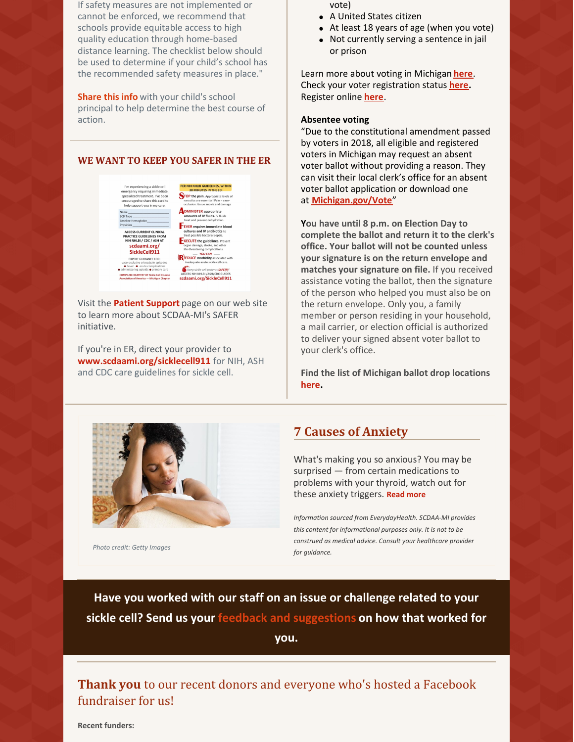If safety measures are not implemented or cannot be enforced, we recommend that schools provide equitable access to high quality education through home-based distance learning. The checklist below should be used to determine if your child's school has the recommended safety measures in place."

**[Share](https://www.sicklecelldisease.org/2020/07/27/scdaa-marac-position-on-2020-school-reopening/) this info** with your child's school principal to help determine the best course of action.

#### **WE WANT TO KEEP YOU SAFER IN THE ER**



Visit the **Patient [Support](https://www.scdaami.org/patient-support)** page on our web site to learn more about SCDAA-MI's SAFER initiative.

If you're in ER, direct your provider to **[www.scdaami.org/sicklecell911](https://www.scdaami.org/sicklecell911)** for NIH, ASH and CDC care guidelines for sickle cell.

- vote)
- A United States citizen
- At least 18 years of age (when you vote)
- Not currently serving a sentence in jail or prison

Learn more about voting in Michigan **[here](https://www.michigan.gov/sos/0,1607,7-127-1633_8716_8726_47669-175878--,00.html)**. Check your voter registration status **[here](https://mvic.sos.state.mi.us/).** Register online **[here](https://mvic.sos.state.mi.us/RegisterVoter)**.

#### **Absentee voting**

"Due to the constitutional amendment passed by voters in 2018, all eligible and registered voters in Michigan may request an absent voter ballot without providing a reason. They can visit their local clerk's office for an absent voter ballot application or download one at **[Michigan.gov/Vote](http://michigan.gov/Vote)**"

**You have until 8 p.m. on Election Day to complete the ballot and return it to the clerk's office. Your ballot will not be counted unless your signature is on the return envelope and matches your signature on file.** If you received assistance voting the ballot, then the signature of the person who helped you must also be on the return envelope. Only you, a family member or person residing in your household, a mail carrier, or election official is authorized to deliver your signed absent voter ballot to your clerk's office.

**Find the list of Michigan ballot drop locations [here](https://www.michigan.gov/documents/sos/Ballot_Dropbox_Locations_697191_7.pdf).**



*Photo credit: Getty Images*

# **7 Causes of Anxiety**

What's making you so anxious? You may be surprised — from certain medications to problems with your thyroid, watch out for these anxiety triggers. **[Read](https://www.everydayhealth.com/anxiety-pictures/7-surprising-causes-of-anxiety.aspx?slot=0&eh_uid=85647231) more**

*Information sourced from EverydayHealth. SCDAA-MI provides this content for informational purposes only. It is not to be construed as medical advice. Consult your healthcare provider for guidance.*

**Have you worked with our staff on an issue or challenge related to your sickle cell? Send us your feedback and [suggestions](https://www.scdaami.org/clientfeedback) on how that worked for**

**you.**

**Thank you** to our recent donors and everyone who's hosted a Facebook fundraiser for us!

**Recent funders:**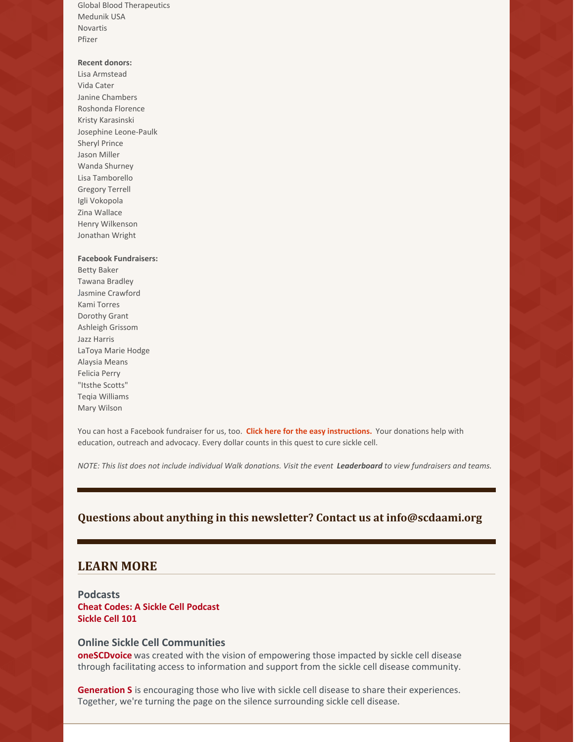Global Blood Therapeutics Medunik USA Novartis Pfizer

#### **Recent donors:**

Lisa Armstead Vida Cater Janine Chambers Roshonda Florence Kristy Karasinski Josephine Leone-Paulk Sheryl Prince Jason Miller Wanda Shurney Lisa Tamborello Gregory Terrell Igli Vokopola Zina Wallace Henry Wilkenson Jonathan Wright

#### **Facebook Fundraisers:**

Betty [Baker](https://www.facebook.com/betty.baker.129?__tn__=-%5D) [Tawana](https://www.facebook.com/tawana.brad.9?__tn__=-%5D) Bradley Jasmine [Crawford](https://www.facebook.com/jpcrawford1?__tn__=-%5D) Kami Torres Dorothy Grant [Ashleigh](https://www.facebook.com/ashleigh.wileice.3?__tn__=-%5D) Grissom Jazz [Harris](https://www.facebook.com/jazz.dk.harris?__tn__=-%5D) LaToya Marie Hodge [Alaysia](https://www.facebook.com/profile.php?id=100007035945118&__tn__=-%5D) Means Felicia Perry "Itsthe Scotts" Teqia [Williams](https://www.facebook.com/teqia.v.williams?__tn__=-%5D) Mary Wilson

You can host a Facebook fundraiser for us, too. **Click here for the easy [instructions.](https://www.facebook.com/fund/sicklecellmichigan/)** Your donations help with education, outreach and advocacy. Every dollar counts in this quest to cure sickle cell.

NOTE: This list does not include individual Walk donations. Visit the event [Leaderboard](https://charity.gofundme.com/o/en/campaign/michigansicklecellwalk) to view fundraisers and teams.

### **Questions about anything in this newsletter? Contact us at info@scdaami.org**

### **LEARN MORE**

**Podcasts Cheat Codes: A Sickle Cell [Podcast](https://podcasts.apple.com/us/podcast/cheat-codes-a-sickle-cell-podcast/id1488189351?i=1000458664124) [Sickle](https://anchor.fm/thesicklecellpodcast) Cell 101**

#### **Online Sickle Cell Communities**

**[oneSCDvoice](https://www.onescdvoice.com/)** was created with the vision of empowering those impacted by sickle cell disease through facilitating access to information and support from the sickle cell disease community.

**[Generation](https://www.joingens.com/) S** is encouraging those who live with sickle cell disease to share their experiences. Together, we're turning the page on the silence surrounding sickle cell disease.